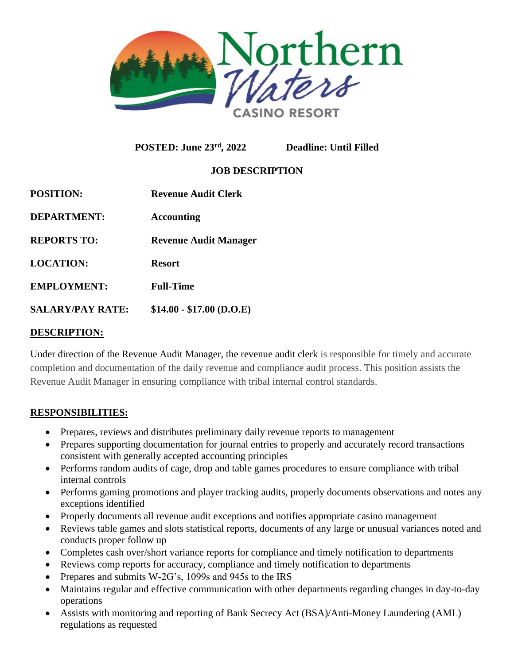

**POSTED: June 23rd, 2022 Deadline: Until Filled**

# **JOB DESCRIPTION**

| <b>POSITION:</b>        | <b>Revenue Audit Clerk</b>   |
|-------------------------|------------------------------|
| <b>DEPARTMENT:</b>      | <b>Accounting</b>            |
| <b>REPORTS TO:</b>      | <b>Revenue Audit Manager</b> |
| <b>LOCATION:</b>        | <b>Resort</b>                |
| <b>EMPLOYMENT:</b>      | <b>Full-Time</b>             |
| <b>SALARY/PAY RATE:</b> | $$14.00 - $17.00$ (D.O.E)    |
|                         |                              |

#### **DESCRIPTION:**

Under direction of the Revenue Audit Manager, the revenue audit clerk is responsible for timely and accurate completion and documentation of the daily revenue and compliance audit process. This position assists the Revenue Audit Manager in ensuring compliance with tribal internal control standards.

### **RESPONSIBILITIES:**

- Prepares, reviews and distributes preliminary daily revenue reports to management
- Prepares supporting documentation for journal entries to properly and accurately record transactions consistent with generally accepted accounting principles
- Performs random audits of cage, drop and table games procedures to ensure compliance with tribal internal controls
- Performs gaming promotions and player tracking audits, properly documents observations and notes any exceptions identified
- Properly documents all revenue audit exceptions and notifies appropriate casino management
- Reviews table games and slots statistical reports, documents of any large or unusual variances noted and conducts proper follow up
- Completes cash over/short variance reports for compliance and timely notification to departments
- Reviews comp reports for accuracy, compliance and timely notification to departments
- Prepares and submits W-2G's, 1099s and 945s to the IRS
- Maintains regular and effective communication with other departments regarding changes in day-to-day operations
- Assists with monitoring and reporting of Bank Secrecy Act (BSA)/Anti-Money Laundering (AML) regulations as requested